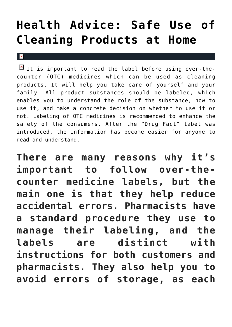# **[Health Advice: Safe Use of](https://cupidspulse.com/136011/health-advice-safe-use-cleaning-products-at-home/) [Cleaning Products at Home](https://cupidspulse.com/136011/health-advice-safe-use-cleaning-products-at-home/)**

 $\mathbf{x}$ 

It is important to read the label before using over-thecounter (OTC) medicines which can be used as cleaning products. It will help you take care of yourself and your family. All product substances should be labeled, which enables you to understand the role of the substance, how to use it, and make a concrete decision on whether to use it or not. Labeling of OTC medicines is recommended to enhance the safety of the consumers. After the "Drug Fact" label was introduced, the information has become easier for anyone to read and understand.

**There are many reasons why it's important to follow over-thecounter medicine labels, but the main one is that they help reduce accidental errors. Pharmacists have a standard procedure they use to manage their labeling, and the labels are distinct with instructions for both customers and pharmacists. They also help you to avoid errors of storage, as each**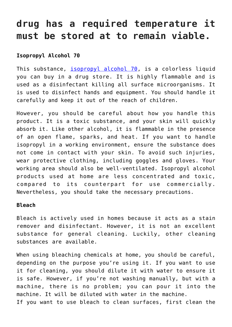## **drug has a required temperature it must be stored at to remain viable.**

### **Isopropyl Alcohol 70**

This substance, [isopropyl alcohol 70](https://www.usamedicalsurgical.com/70-isopropyl-rubbing-alcohol/), is a colorless liquid you can buy in a drug store. It is highly flammable and is used as a disinfectant killing all surface microorganisms. It is used to disinfect hands and equipment. You should handle it carefully and keep it out of the reach of children.

However, you should be careful about how you handle this product. It is a toxic substance, and your skin will quickly absorb it. Like other alcohol, it is flammable in the presence of an open flame, sparks, and heat. If you want to handle isopropyl in a working environment, ensure the substance does not come in contact with your skin. To avoid such injuries, wear protective clothing, including goggles and gloves. Your working area should also be well-ventilated. Isopropyl alcohol products used at home are less concentrated and toxic, compared to its counterpart for use commercially. Nevertheless, you should take the necessary precautions.

#### **Bleach**

Bleach is actively used in homes because it acts as a stain remover and disinfectant. However, it is not an excellent substance for general cleaning. Luckily, other cleaning substances are available.

When using bleaching chemicals at home, you should be careful, depending on the purpose you're using it. If you want to use it for cleaning, you should dilute it with water to ensure it is safe. However, if you're not washing manually, but with a machine, there is no problem; you can pour it into the machine. It will be diluted with water in the machine.

If you want to use bleach to clean surfaces, first clean the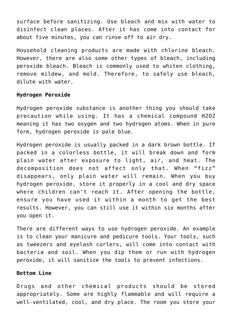surface before sanitizing. Use bleach and mix with water to disinfect clean places. After it has come into contact for about five minutes, you can rinse off to air dry.

Household cleaning products are made with chlorine bleach. However, there are also some other types of bleach, including peroxide bleach. Bleach is commonly used to whiten clothing, remove mildew, and mold. Therefore, to safely use bleach, dilute with water.

#### **Hydrogen Peroxide**

Hydrogen peroxide substance is another thing you should take precaution while using. It has a chemical compound H2O2 meaning it has two oxygen and two hydrogen atoms. When in pure form, hydrogen peroxide is pale blue.

Hydrogen peroxide is usually packed in a dark brown bottle. If packed in a colorless bottle, it will break down and form plain water after exposure to light, air, and heat. The decomposition does not affect only that. When "fizz" disappears, only plain water will remain. When you buy hydrogen peroxide, store it properly in a cool and dry space where children can't reach it. After opening the bottle, ensure you have used it within a month to get the best results. However, you can still use it within six months after you open it.

There are different ways to use hydrogen peroxide. An example is to clean your manicure and pedicure tools. Your tools, such as tweezers and eyelash curlers, will come into contact with bacteria and soil. When you dip them or run with hydrogen peroxide, it will sanitize the tools to prevent infections.

#### **Bottom Line**

Drugs and other chemical products should be stored appropriately. Some are highly flammable and will require a well-ventilated, cool, and dry place. The room you store your